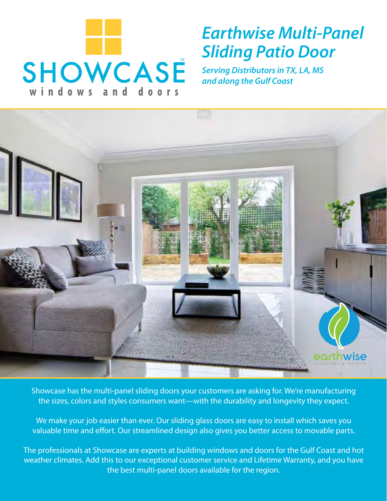

# *Earthwise Multi-Panel Sliding Patio Door*

*Serving Distributors in TX, LA, MS and along the Gulf Coast*



Showcase has the multi-panel sliding doors your customers are asking for. We're manufacturing the sizes, colors and styles consumers want—with the durability and longevity they expect.

We make your job easier than ever. Our sliding glass doors are easy to install which saves you valuable time and effort. Our streamlined design also gives you better access to movable parts.

The professionals at Showcase are experts at building windows and doors for the Gulf Coast and hot weather climates. Add this to our exceptional customer service and Lifetime Warranty, and you have the best multi-panel doors available for the region.